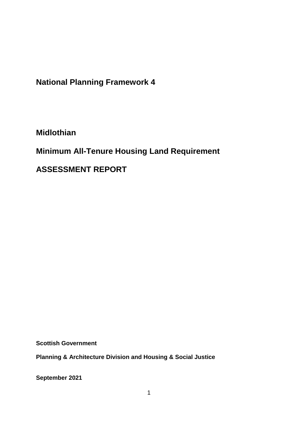**National Planning Framework 4**

**Midlothian**

**Minimum All-Tenure Housing Land Requirement** 

**ASSESSMENT REPORT**

**Scottish Government**

**Planning & Architecture Division and Housing & Social Justice** 

**September 2021**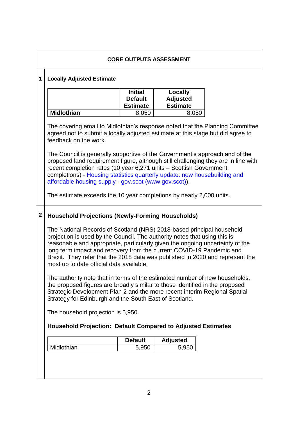|             | <b>CORE OUTPUTS ASSESSMENT</b>                                                                                                                                                                                                                                                                                                                                                                                                           |                                                     |                                               |  |  |  |  |
|-------------|------------------------------------------------------------------------------------------------------------------------------------------------------------------------------------------------------------------------------------------------------------------------------------------------------------------------------------------------------------------------------------------------------------------------------------------|-----------------------------------------------------|-----------------------------------------------|--|--|--|--|
| $\mathbf 1$ | <b>Locally Adjusted Estimate</b>                                                                                                                                                                                                                                                                                                                                                                                                         |                                                     |                                               |  |  |  |  |
|             |                                                                                                                                                                                                                                                                                                                                                                                                                                          | <b>Initial</b><br><b>Default</b><br><b>Estimate</b> | Locally<br><b>Adjusted</b><br><b>Estimate</b> |  |  |  |  |
|             | <b>Midlothian</b>                                                                                                                                                                                                                                                                                                                                                                                                                        | 8,050                                               | 8,050                                         |  |  |  |  |
|             | The covering email to Midlothian's response noted that the Planning Committee<br>agreed not to submit a locally adjusted estimate at this stage but did agree to<br>feedback on the work.                                                                                                                                                                                                                                                |                                                     |                                               |  |  |  |  |
|             | The Council is generally supportive of the Government's approach and of the<br>proposed land requirement figure, although still challenging they are in line with<br>recent completion rates (10 year 6,271 units - Scottish Government<br>completions) - Housing statistics quarterly update: new housebuilding and<br>affordable housing supply - gov.scot (www.gov.scot)).                                                            |                                                     |                                               |  |  |  |  |
|             | The estimate exceeds the 10 year completions by nearly 2,000 units.                                                                                                                                                                                                                                                                                                                                                                      |                                                     |                                               |  |  |  |  |
| 2           | <b>Household Projections (Newly-Forming Households)</b>                                                                                                                                                                                                                                                                                                                                                                                  |                                                     |                                               |  |  |  |  |
|             | The National Records of Scotland (NRS) 2018-based principal household<br>projection is used by the Council. The authority notes that using this is<br>reasonable and appropriate, particularly given the ongoing uncertainty of the<br>long term impact and recovery from the current COVID-19 Pandemic and<br>Brexit. They refer that the 2018 data was published in 2020 and represent the<br>most up to date official data available. |                                                     |                                               |  |  |  |  |
|             | The authority note that in terms of the estimated number of new households,<br>the proposed figures are broadly similar to those identified in the proposed<br>Strategic Development Plan 2 and the more recent interim Regional Spatial<br>Strategy for Edinburgh and the South East of Scotland.                                                                                                                                       |                                                     |                                               |  |  |  |  |
|             | The household projection is 5,950.                                                                                                                                                                                                                                                                                                                                                                                                       |                                                     |                                               |  |  |  |  |
|             | <b>Household Projection: Default Compared to Adjusted Estimates</b>                                                                                                                                                                                                                                                                                                                                                                      |                                                     |                                               |  |  |  |  |
|             |                                                                                                                                                                                                                                                                                                                                                                                                                                          | <b>Default</b>                                      | <b>Adjusted</b>                               |  |  |  |  |
|             | Midlothian                                                                                                                                                                                                                                                                                                                                                                                                                               | 5,950                                               | 5,950                                         |  |  |  |  |
|             |                                                                                                                                                                                                                                                                                                                                                                                                                                          |                                                     |                                               |  |  |  |  |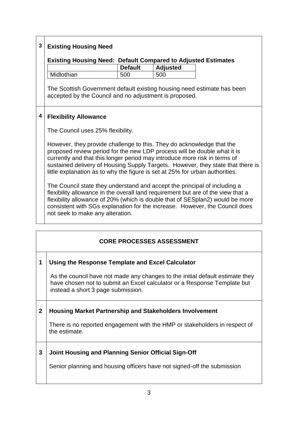| 3 | <b>Existing Housing Need</b>                                                                                                                                                                                                                                                                                                                                                                      |                |                 |  |  |  |
|---|---------------------------------------------------------------------------------------------------------------------------------------------------------------------------------------------------------------------------------------------------------------------------------------------------------------------------------------------------------------------------------------------------|----------------|-----------------|--|--|--|
|   | <b>Existing Housing Need: Default Compared to Adjusted Estimates</b>                                                                                                                                                                                                                                                                                                                              |                |                 |  |  |  |
|   |                                                                                                                                                                                                                                                                                                                                                                                                   | <b>Default</b> | <b>Adjusted</b> |  |  |  |
|   | Midlothian                                                                                                                                                                                                                                                                                                                                                                                        | 500            | 500             |  |  |  |
|   | The Scottish Government default existing housing need estimate has been<br>accepted by the Council and no adjustment is proposed.                                                                                                                                                                                                                                                                 |                |                 |  |  |  |
| 4 | <b>Flexibility Allowance</b>                                                                                                                                                                                                                                                                                                                                                                      |                |                 |  |  |  |
|   | The Council uses 25% flexibility.                                                                                                                                                                                                                                                                                                                                                                 |                |                 |  |  |  |
|   | However, they provide challenge to this. They do acknowledge that the<br>proposed review period for the new LDP process will be double what it is<br>currently and that this longer period may introduce more risk in terms of<br>sustained delivery of Housing Supply Targets. However, they state that there is<br>little explanation as to why the figure is set at 25% for urban authorities. |                |                 |  |  |  |
|   | The Council state they understand and accept the principal of including a<br>flexibility allowance in the overall land requirement but are of the view that a<br>flexibility allowance of 20% (which is double that of SESplan2) would be more<br>consistent with SGs explanation for the increase. However, the Council does<br>not seek to make any alteration.                                 |                |                 |  |  |  |

## **CORE PROCESSES ASSESSMENT**

## **1 Using the Response Template and Excel Calculator**

As the council have not made any changes to the initial default estimate they have chosen not to submit an Excel calculator or a Response Template but instead a short 3 page submission.

## **2 Housing Market Partnership and Stakeholders Involvement**

There is no reported engagement with the HMP or stakeholders in respect of the estimate.

## **3 Joint Housing and Planning Senior Official Sign-Off**

Senior planning and housing officers have not signed-off the submission